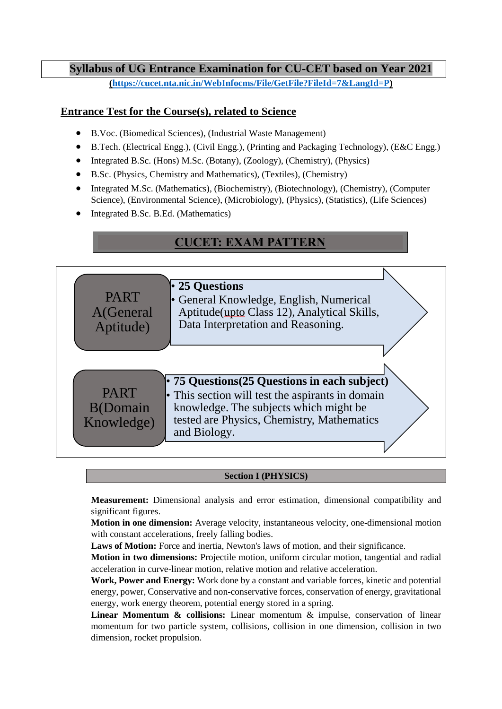## **Syllabus of UG Entrance Examination for CU-CET based on Year 2021**

**[\(https://cucet.nta.nic.in/WebInfocms/File/GetFile?FileId=7&LangId=P\)](https://cucet.nta.nic.in/WebInfocms/File/GetFile?FileId=7&LangId=P)**

## **Entrance Test for the Course(s), related to Science**

- B.Voc. (Biomedical Sciences), (Industrial Waste Management)
- B.Tech. (Electrical Engg.), (Civil Engg.), (Printing and Packaging Technology), (E&C Engg.)
- Integrated B.Sc. (Hons) M.Sc. (Botany), (Zoology), (Chemistry), (Physics)
- B.Sc. (Physics, Chemistry and Mathematics), (Textiles), (Chemistry)
- Integrated M.Sc. (Mathematics), (Biochemistry), (Biotechnology), (Chemistry), (Computer Science), (Environmental Science), (Microbiology), (Physics), (Statistics), (Life Sciences)
- Integrated B.Sc. B.Ed. (Mathematics)

# **CUCET: EXAM PATTERN**



## **Section I (PHYSICS)**

**Measurement:** Dimensional analysis and error estimation, dimensional compatibility and significant figures.

**Motion in one dimension:** Average velocity, instantaneous velocity, one-dimensional motion with constant accelerations, freely falling bodies.

Laws of Motion: Force and inertia, Newton's laws of motion, and their significance.

**Motion in two dimensions:** Projectile motion, uniform circular motion, tangential and radial acceleration in curve-linear motion, relative motion and relative acceleration.

**Work, Power and Energy:** Work done by a constant and variable forces, kinetic and potential energy, power, Conservative and non-conservative forces, conservation of energy, gravitational energy, work energy theorem, potential energy stored in a spring.

**Linear Momentum & collisions:** Linear momentum & impulse, conservation of linear momentum for two particle system, collisions, collision in one dimension, collision in two dimension, rocket propulsion.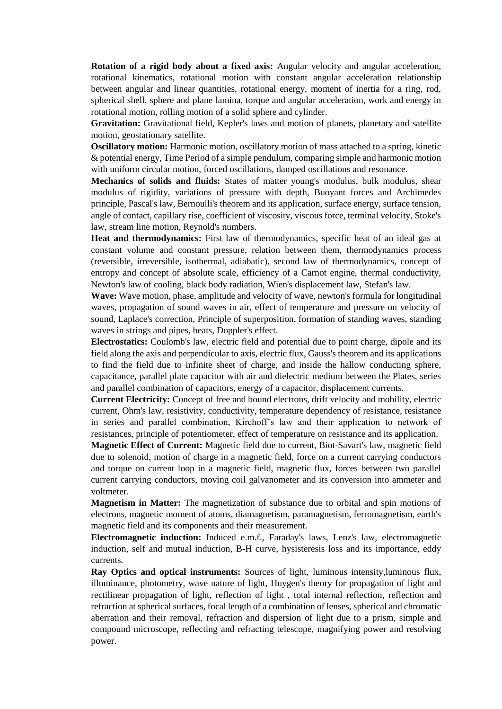**Rotation of a rigid body about a fixed axis:** Angular velocity and angular acceleration, rotational kinematics, rotational motion with constant angular acceleration relationship between angular and linear quantities, rotational energy, moment of inertia for a ring, rod, spherical shell, sphere and plane lamina, torque and angular acceleration, work and energy in rotational motion, rolling motion of a solid sphere and cylinder.

**Gravitation:** Gravitational field, Kepler's laws and motion of planets, planetary and satellite motion, geostationary satellite.

**Oscillatory motion:** Harmonic motion, oscillatory motion of mass attached to a spring, kinetic & potential energy, Time Period of a simple pendulum, comparing simple and harmonic motion with uniform circular motion, forced oscillations, damped oscillations and resonance.

**Mechanics of solids and fluids:** States of matter young's modulus, bulk modulus, shear modulus of rigidity, variations of pressure with depth, Buoyant forces and Archimedes principle, Pascal's law, Bernoulli's theorem and its application, surface energy, surface tension, angle of contact, capillary rise, coefficient of viscosity, viscous force, terminal velocity, Stoke's law, stream line motion, Reynold's numbers.

**Heat and thermodynamics:** First law of thermodynamics, specific heat of an ideal gas at constant volume and constant pressure, relation between them, thermodynamics process (reversible, irreversible, isothermal, adiabatic), second law of thermodynamics, concept of entropy and concept of absolute scale, efficiency of a Carnot engine, thermal conductivity, Newton's law of cooling, black body radiation, Wien's displacement law, Stefan's law.

**Wave:** Wave motion, phase, amplitude and velocity of wave, newton's formula for longitudinal waves, propagation of sound waves in air, effect of temperature and pressure on velocity of sound, Laplace's correction, Principle of superposition, formation of standing waves, standing waves in strings and pipes, beats, Doppler's effect.

**Electrostatics:** Coulomb's law, electric field and potential due to point charge, dipole and its field along the axis and perpendicular to axis, electric flux, Gauss's theorem and its applications to find the field due to infinite sheet of charge, and inside the hallow conducting sphere, capacitance, parallel plate capacitor with air and dielectric medium between the Plates, series and parallel combination of capacitors, energy of a capacitor, displacement currents.

**Current Electricity:** Concept of free and bound electrons, drift velocity and mobility, electric current, Ohm's law, resistivity, conductivity, temperature dependency of resistance, resistance in series and parallel combination, Kirchoff's law and their application to network of resistances, principle of potentiometer, effect of temperature on resistance and its application.

**Magnetic Effect of Current:** Magnetic field due to current, Biot-Savart's law, magnetic field due to solenoid, motion of charge in a magnetic field, force on a current carrying conductors and torque on current loop in a magnetic field, magnetic flux, forces between two parallel current carrying conductors, moving coil galvanometer and its conversion into ammeter and voltmeter.

**Magnetism in Matter:** The magnetization of substance due to orbital and spin motions of electrons, magnetic moment of atoms, diamagnetism, paramagnetism, ferromagnetism, earth's magnetic field and its components and their measurement.

**Electromagnetic induction:** Induced e.m.f., Faraday's laws, Lenz's law, electromagnetic induction, self and mutual induction, B-H curve, hysisteresis loss and its importance, eddy currents.

**Ray Optics and optical instruments:** Sources of light, luminous intensity,luminous flux, illuminance, photometry, wave nature of light, Huygen's theory for propagation of light and rectilinear propagation of light, reflection of light , total internal reflection, reflection and refraction at spherical surfaces, focal length of a combination of lenses, spherical and chromatic aberration and their removal, refraction and dispersion of light due to a prism, simple and compound microscope, reflecting and refracting telescope, magnifying power and resolving power.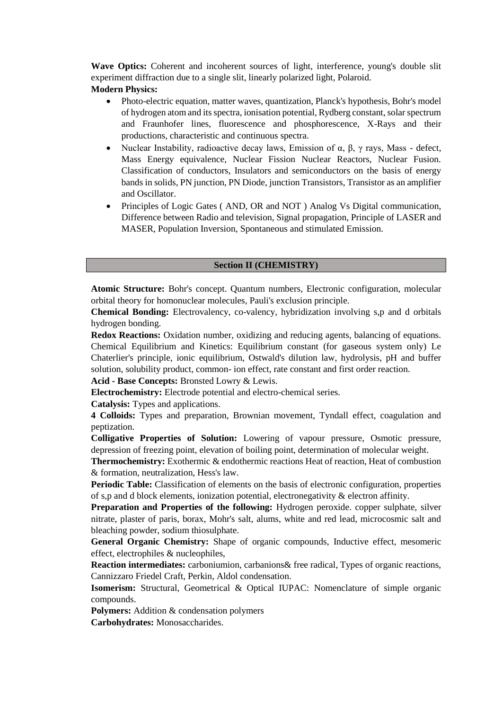**Wave Optics:** Coherent and incoherent sources of light, interference, young's double slit experiment diffraction due to a single slit, linearly polarized light, Polaroid.

### **Modern Physics:**

- Photo-electric equation, matter waves, quantization, Planck's hypothesis, Bohr's model of hydrogen atom and its spectra, ionisation potential, Rydberg constant, solar spectrum and Fraunhofer lines, fluorescence and phosphorescence, X-Rays and their productions, characteristic and continuous spectra.
- Nuclear Instability, radioactive decay laws, Emission of  $\alpha$ ,  $\beta$ ,  $\gamma$  rays, Mass defect, Mass Energy equivalence, Nuclear Fission Nuclear Reactors, Nuclear Fusion. Classification of conductors, Insulators and semiconductors on the basis of energy bands in solids, PN junction, PN Diode, junction Transistors, Transistor as an amplifier and Oscillator.
- Principles of Logic Gates ( AND, OR and NOT ) Analog Vs Digital communication, Difference between Radio and television, Signal propagation, Principle of LASER and MASER, Population Inversion, Spontaneous and stimulated Emission.

#### **Section II (CHEMISTRY)**

**Atomic Structure:** Bohr's concept. Quantum numbers, Electronic configuration, molecular orbital theory for homonuclear molecules, Pauli's exclusion principle.

**Chemical Bonding:** Electrovalency, co-valency, hybridization involving s,p and d orbitals hydrogen bonding.

**Redox Reactions:** Oxidation number, oxidizing and reducing agents, balancing of equations. Chemical Equilibrium and Kinetics: Equilibrium constant (for gaseous system only) Le Chaterlier's principle, ionic equilibrium, Ostwald's dilution law, hydrolysis, pH and buffer solution, solubility product, common- ion effect, rate constant and first order reaction.

**Acid - Base Concepts:** Bronsted Lowry & Lewis.

**Electrochemistry:** Electrode potential and electro-chemical series.

**Catalysis:** Types and applications.

**4 Colloids:** Types and preparation, Brownian movement, Tyndall effect, coagulation and peptization.

**Colligative Properties of Solution:** Lowering of vapour pressure, Osmotic pressure, depression of freezing point, elevation of boiling point, determination of molecular weight.

**Thermochemistry:** Exothermic & endothermic reactions Heat of reaction, Heat of combustion & formation, neutralization, Hess's law.

**Periodic Table:** Classification of elements on the basis of electronic configuration, properties of s,p and d block elements, ionization potential, electronegativity & electron affinity.

**Preparation and Properties of the following:** Hydrogen peroxide. copper sulphate, silver nitrate, plaster of paris, borax, Mohr's salt, alums, white and red lead, microcosmic salt and bleaching powder, sodium thiosulphate.

**General Organic Chemistry:** Shape of organic compounds, Inductive effect, mesomeric effect, electrophiles & nucleophiles,

**Reaction intermediates:** carboniumion, carbanions& free radical, Types of organic reactions, Cannizzaro Friedel Craft, Perkin, Aldol condensation.

**Isomerism:** Structural, Geometrical & Optical IUPAC: Nomenclature of simple organic compounds.

**Polymers:** Addition & condensation polymers

**Carbohydrates:** Monosaccharides.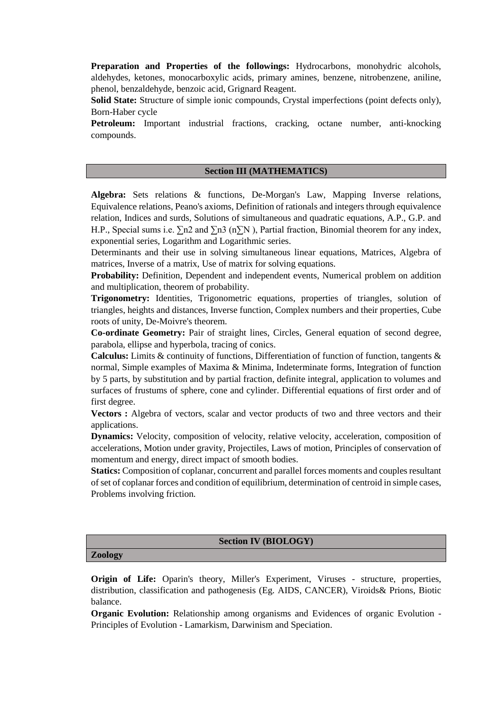**Preparation and Properties of the followings:** Hydrocarbons, monohydric alcohols, aldehydes, ketones, monocarboxylic acids, primary amines, benzene, nitrobenzene, aniline, phenol, benzaldehyde, benzoic acid, Grignard Reagent.

**Solid State:** Structure of simple ionic compounds, Crystal imperfections (point defects only), Born-Haber cycle

**Petroleum:** Important industrial fractions, cracking, octane number, anti-knocking compounds.

#### **Section III (MATHEMATICS)**

**Algebra:** Sets relations & functions, De-Morgan's Law, Mapping Inverse relations, Equivalence relations, Peano's axioms, Definition of rationals and integers through equivalence relation, Indices and surds, Solutions of simultaneous and quadratic equations, A.P., G.P. and H.P., Special sums i.e.  $\sum n^2$  and  $\sum n^3$  (n $\sum N$ ), Partial fraction, Binomial theorem for any index, exponential series, Logarithm and Logarithmic series.

Determinants and their use in solving simultaneous linear equations, Matrices, Algebra of matrices, Inverse of a matrix, Use of matrix for solving equations.

**Probability:** Definition, Dependent and independent events, Numerical problem on addition and multiplication, theorem of probability.

**Trigonometry:** Identities, Trigonometric equations, properties of triangles, solution of triangles, heights and distances, Inverse function, Complex numbers and their properties, Cube roots of unity, De-Moivre's theorem.

**Co-ordinate Geometry:** Pair of straight lines, Circles, General equation of second degree, parabola, ellipse and hyperbola, tracing of conics.

Calculus: Limits & continuity of functions, Differentiation of function of function, tangents & normal, Simple examples of Maxima & Minima, Indeterminate forms, Integration of function by 5 parts, by substitution and by partial fraction, definite integral, application to volumes and surfaces of frustums of sphere, cone and cylinder. Differential equations of first order and of first degree.

**Vectors :** Algebra of vectors, scalar and vector products of two and three vectors and their applications.

**Dynamics:** Velocity, composition of velocity, relative velocity, acceleration, composition of accelerations, Motion under gravity, Projectiles, Laws of motion, Principles of conservation of momentum and energy, direct impact of smooth bodies.

**Statics:** Composition of coplanar, concurrent and parallel forces moments and couples resultant of set of coplanar forces and condition of equilibrium, determination of centroid in simple cases, Problems involving friction.

#### **Section IV (BIOLOGY)**

#### **Zoology**

**Origin of Life:** Oparin's theory, Miller's Experiment, Viruses - structure, properties, distribution, classification and pathogenesis (Eg. AIDS, CANCER), Viroids& Prions, Biotic balance.

**Organic Evolution:** Relationship among organisms and Evidences of organic Evolution - Principles of Evolution - Lamarkism, Darwinism and Speciation.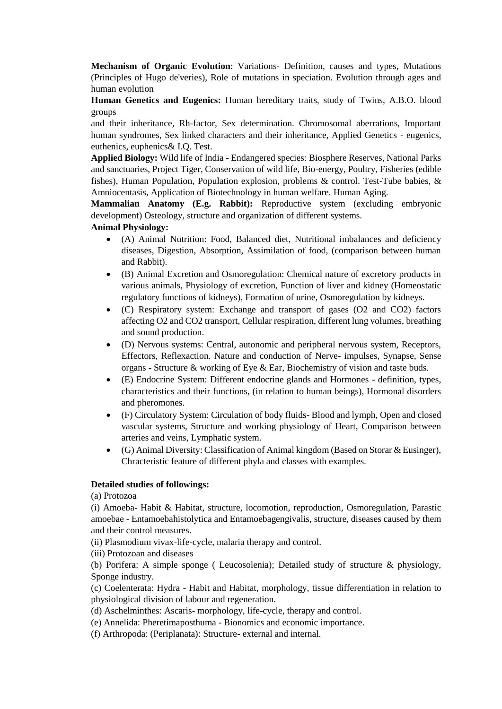**Mechanism of Organic Evolution**: Variations- Definition, causes and types, Mutations (Principles of Hugo de'veries), Role of mutations in speciation. Evolution through ages and human evolution

**Human Genetics and Eugenics:** Human hereditary traits, study of Twins, A.B.O. blood groups

and their inheritance, Rh-factor, Sex determination. Chromosomal aberrations, Important human syndromes, Sex linked characters and their inheritance, Applied Genetics - eugenics, euthenics, euphenics& I.Q. Test.

**Applied Biology:** Wild life of India - Endangered species: Biosphere Reserves, National Parks and sanctuaries, Project Tiger, Conservation of wild life, Bio-energy, Poultry, Fisheries (edible fishes), Human Population, Population explosion, problems & control. Test-Tube babies, & Amniocentasis, Application of Biotechnology in human welfare. Human Aging.

**Mammalian Anatomy (E.g. Rabbit):** Reproductive system (excluding embryonic development) Osteology, structure and organization of different systems.

#### **Animal Physiology:**

- (A) Animal Nutrition: Food, Balanced diet, Nutritional imbalances and deficiency diseases, Digestion, Absorption, Assimilation of food, (comparison between human and Rabbit).
- (B) Animal Excretion and Osmoregulation: Chemical nature of excretory products in various animals, Physiology of excretion, Function of liver and kidney (Homeostatic regulatory functions of kidneys), Formation of urine, Osmoregulation by kidneys.
- (C) Respiratory system: Exchange and transport of gases (O2 and CO2) factors affecting O2 and CO2 transport, Cellular respiration, different lung volumes, breathing and sound production.
- (D) Nervous systems: Central, autonomic and peripheral nervous system, Receptors, Effectors, Reflexaction. Nature and conduction of Nerve- impulses, Synapse, Sense organs - Structure & working of Eye & Ear, Biochemistry of vision and taste buds.
- (E) Endocrine System: Different endocrine glands and Hormones definition, types, characteristics and their functions, (in relation to human beings), Hormonal disorders and pheromones.
- (F) Circulatory System: Circulation of body fluids- Blood and lymph, Open and closed vascular systems, Structure and working physiology of Heart, Comparison between arteries and veins, Lymphatic system.
- (G) Animal Diversity: Classification of Animal kingdom (Based on Storar & Eusinger), Chracteristic feature of different phyla and classes with examples.

#### **Detailed studies of followings:**

(a) Protozoa

(i) Amoeba- Habit & Habitat, structure, locomotion, reproduction, Osmoregulation, Parastic amoebae - Entamoebahistolytica and Entamoebagengivalis, structure, diseases caused by them and their control measures.

(ii) Plasmodium vivax-life-cycle, malaria therapy and control.

(iii) Protozoan and diseases

(b) Porifera: A simple sponge ( Leucosolenia); Detailed study of structure & physiology, Sponge industry.

(c) Coelenterata: Hydra - Habit and Habitat, morphology, tissue differentiation in relation to physiological division of labour and regeneration.

- (d) Aschelminthes: Ascaris- morphology, life-cycle, therapy and control.
- (e) Annelida: Pheretimaposthuma Bionomics and economic importance.
- (f) Arthropoda: (Periplanata): Structure- external and internal.